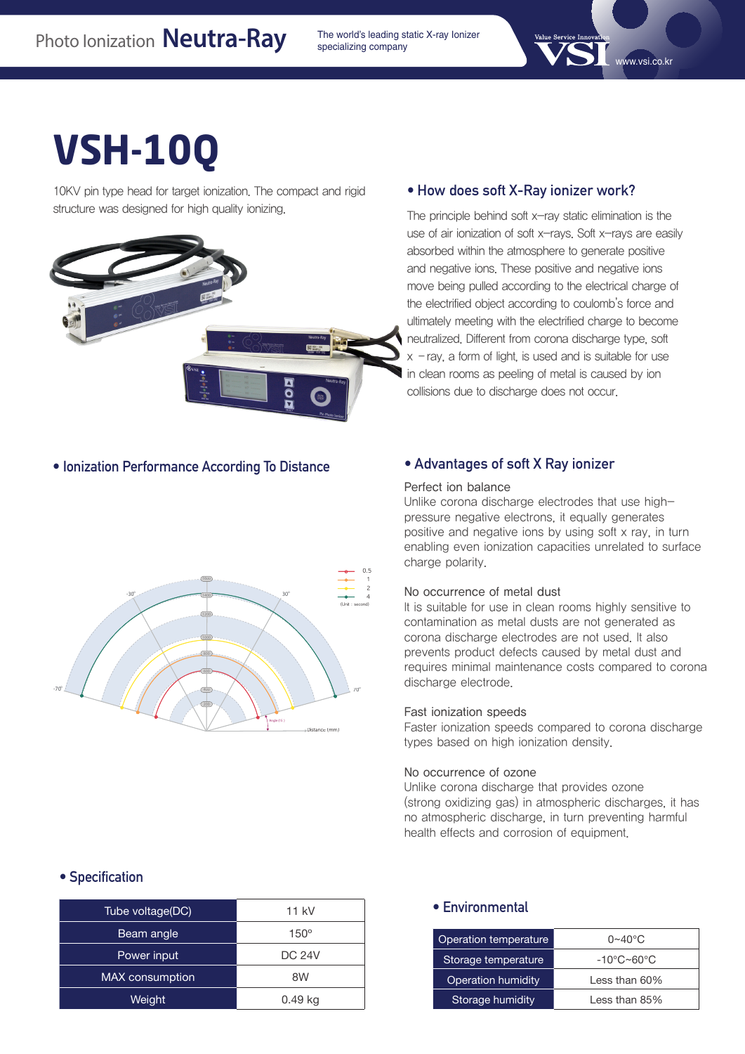specializing company

# **VSH-10Q**

10KV pin type head for target ionization. The compact and rigid structure was designed for high quality ionizing.



#### **• How does soft X-Ray ionizer work?**

The principle behind soft  $x$ -ray static elimination is the use of air ionization of soft x-rays. Soft x-rays are easily absorbed within the atmosphere to generate positive and negative ions. These positive and negative ions move being pulled according to the electrical charge of the electrified object according to coulomb's force and ultimately meeting with the electrified charge to become neutralized. Different from corona discharge type, soft  $x$  – ray, a form of light, is used and is suitable for use in clean rooms as peeling of metal is caused by ion collisions due to discharge does not occur.

#### **• Ionization Performance According To Distance**



#### **• Advantages of soft X Ray ionizer**

#### Perfect ion balance

Unlike corona discharge electrodes that use highpressure negative electrons, it equally generates positive and negative ions by using soft x ray, in turn enabling even ionization capacities unrelated to surface charge polarity.

#### No occurrence of metal dust

It is suitable for use in clean rooms highly sensitive to contamination as metal dusts are not generated as corona discharge electrodes are not used. It also prevents product defects caused by metal dust and requires minimal maintenance costs compared to corona discharge electrode.

#### Fast ionization speeds

Faster ionization speeds compared to corona discharge types based on high ionization density.

#### No occurrence of ozone

Unlike corona discharge that provides ozone (strong oxidizing gas) in atmospheric discharges, it has no atmospheric discharge, in turn preventing harmful health effects and corrosion of equipment.

#### **• Specification**

| Tube voltage(DC)       | 11 kV         |
|------------------------|---------------|
| Beam angle             | $150^\circ$   |
| Power input            | <b>DC 24V</b> |
| <b>MAX</b> consumption | 8W            |
| Weight                 | 0.49 kg       |
|                        |               |

#### **• Environmental**

| Operation temperature | $0\neg 40^\circ C$ |
|-----------------------|--------------------|
| Storage temperature   | -10°C~60°C         |
| Operation humidity    | Less than 60%      |
| Storage humidity      | Less than 85%      |